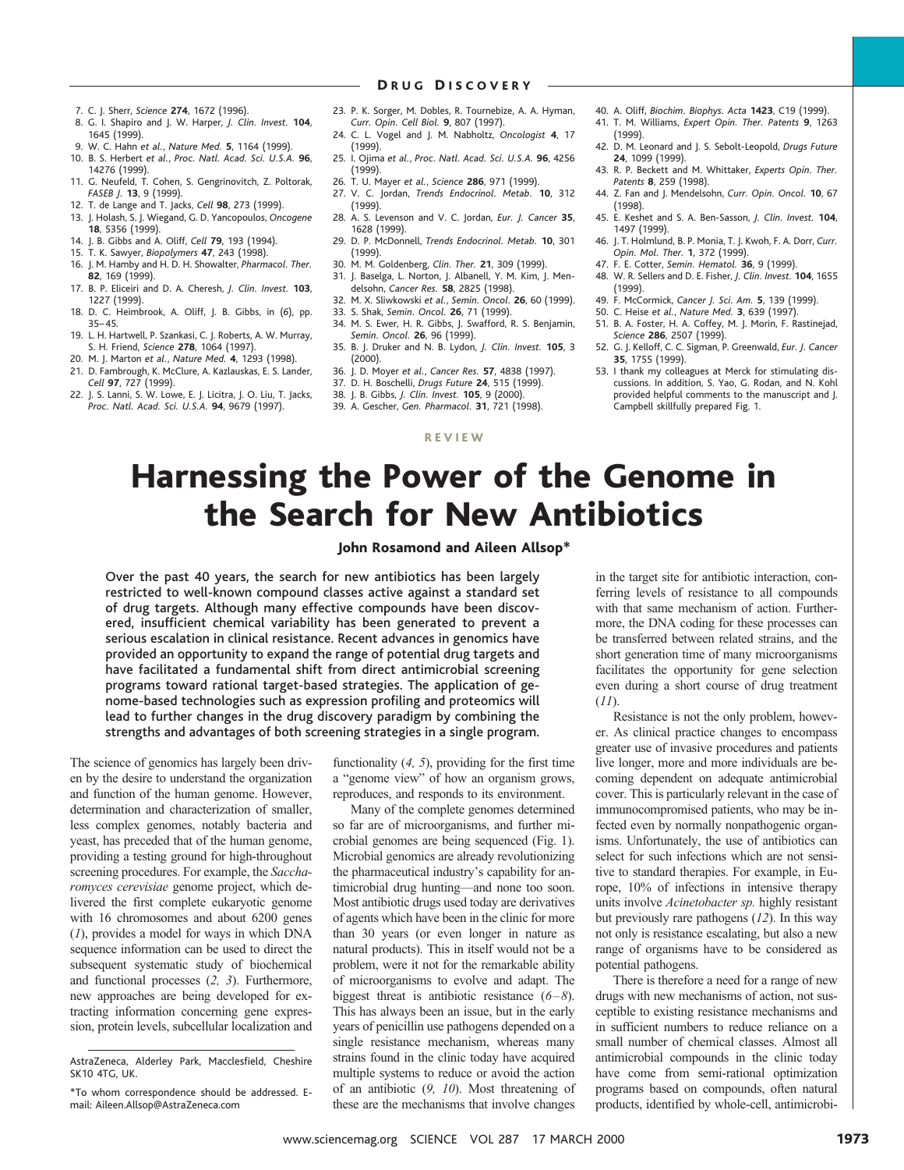- 7. C. J. Sherr, *Science* **274**, 1672 (1996).
- 8. G. I. Shapiro and J. W. Harper, *J. Clin. Invest.* **104**, 1645 (1999).
- 9. W. C. Hahn *et al.*, *Nature Med.* **5**, 1164 (1999). 10. B. S. Herbert *et al.*, *Proc. Natl. Acad. Sci. U.S.A.* **96**,
- 14276 (1999). 11. G. Neufeld, T. Cohen, S. Gengrinovitch, Z. Poltorak, *FASEB J.* **13**, 9 (1999).
- 12. T. de Lange and T. Jacks, *Cell* **98**, 273 (1999).
- 13. J. Holash, S. J. Wiegand, G. D. Yancopoulos, *Oncogene* **18**, 5356 (1999).
- 14. J. B. Gibbs and A. Oliff, *Cell* **79**, 193 (1994).
- 15. T. K. Sawyer, *Biopolymers* **47**, 243 (1998).
- 16. J. M. Hamby and H. D. H. Showalter, *Pharmacol. Ther.* **82**, 169 (1999).
- 17. B. P. Eliceiri and D. A. Cheresh, *J. Clin. Invest.* **103**, 1227 (1999).
- 18. D. C. Heimbrook, A. Oliff, J. B. Gibbs, in (*6*), pp.  $35 - 45.$
- 19. L. H. Hartwell, P. Szankasi, C. J. Roberts, A. W. Murray, S. H. Friend, *Science* **278**, 1064 (1997).
- 20. M. J. Marton *et al.*, *Nature Med.* **4**, 1293 (1998). 21. D. Fambrough, K. McClure, A. Kazlauskas, E. S. Lander,
- *Cell* **97**, 727 (1999).
- 22. J. S. Lanni, S. W. Lowe, E. J. Licitra, J. O. Liu, T. Jacks, *Proc. Natl. Acad. Sci. U.S.A.* **94**, 9679 (1997).
- DRUG DISCOVERY
- 23. P. K. Sorger, M. Dobles, R. Tournebize, A. A. Hyman, *Curr. Opin. Cell Biol.* **9**, 807 (1997).
- 24. C. L. Vogel and J. M. Nabholtz, *Oncologist* **4**, 17 (1999).
- 25. I. Ojima *et al.*, *Proc. Natl. Acad. Sci. U.S.A.* **96**, 4256 (1999).
- 26. T. U. Mayer *et al.*, *Science* **286**, 971 (1999).
- 27. V. C. Jordan, *Trends Endocrinol. Metab.* **10**, 312 (1999).
- 28. A. S. Levenson and V. C. Jordan, *Eur. J. Cancer* **35**, 1628 (1999).
- 29. D. P. McDonnell, *Trends Endocrinol. Metab.* **10**, 301 (1999).
- 30. M. M. Goldenberg, *Clin. Ther.* **21**, 309 (1999). 31. J. Baselga, L. Norton, J. Albanell, Y. M. Kim, J. Mendelsohn, *Cancer Res.* **58**, 2825 (1998).
- 32. M. X. Sliwkowski *et al.*, *Semin. Oncol.* **26**, 60 (1999).
- 33. S. Shak, *Semin. Oncol.* **26**, 71 (1999).
- 34. M. S. Ewer, H. R. Gibbs, J. Swafford, R. S. Benjamin, *Semin. Oncol.* **26**, 96 (1999).
- 35. B. J. Druker and N. B. Lydon, *J. Clin. Invest.* **105**, 3 (2000).
- 36. J. D. Moyer *et al.*, *Cancer Res.* **57**, 4838 (1997).
- 37. D. H. Boschelli, *Drugs Future* **24**, 515 (1999).
- 38. J. B. Gibbs, *J. Clin. Invest.* **105**, 9 (2000).
- 39. A. Gescher, *Gen. Pharmacol.* **31**, 721 (1998).

# REVIEW

- 40. A. Oliff, *Biochim. Biophys. Acta* **1423**, C19 (1999).
- 41. T. M. Williams, *Expert Opin. Ther. Patents* **9**, 1263 (1999).
- 42. D. M. Leonard and J. S. Sebolt-Leopold, *Drugs Future* **24**, 1099 (1999).
- 43. R. P. Beckett and M. Whittaker, *Experts Opin. Ther. Patents* **8**, 259 (1998).
- 44. Z. Fan and J. Mendelsohn, *Curr. Opin. Oncol.* **10**, 67 (1998).
- 45. E. Keshet and S. A. Ben-Sasson, *J. Clin. Invest.* **104**, 1497 (1999).
- 46. J. T. Holmlund, B. P. Monia, T. J. Kwoh, F. A. Dorr, *Curr. Opin. Mol. Ther.* **1**, 372 (1999).
- 47. F. E. Cotter, *Semin. Hematol.* **36**, 9 (1999).
- 48. W. R. Sellers and D. E. Fisher, *J. Clin. Invest.* **104**, 1655 (1999).
- 49. F. McCormick, *Cancer J. Sci. Am.* **5**, 139 (1999).
- 50. C. Heise *et al.*, *Nature Med.* **3**, 639 (1997).
- 51. B. A. Foster, H. A. Coffey, M. J. Morin, F. Rastinejad, *Science* **286**, 2507 (1999).
- 52. G. J. Kelloff, C. C. Sigman, P. Greenwald, *Eur. J. Cancer* **35**, 1755 (1999).
- 53. I thank my colleagues at Merck for stimulating discussions. In addition, S. Yao, G. Rodan, and N. Kohl provided helpful comments to the manuscript and J. Campbell skillfully prepared Fig. 1.

# Harnessing the Power of the Genome in the Search for New Antibiotics

### John Rosamond and Aileen Allsop\*

Over the past 40 years, the search for new antibiotics has been largely restricted to well-known compound classes active against a standard set of drug targets. Although many effective compounds have been discovered, insufficient chemical variability has been generated to prevent a serious escalation in clinical resistance. Recent advances in genomics have provided an opportunity to expand the range of potential drug targets and have facilitated a fundamental shift from direct antimicrobial screening programs toward rational target-based strategies. The application of genome-based technologies such as expression profiling and proteomics will lead to further changes in the drug discovery paradigm by combining the strengths and advantages of both screening strategies in a single program.

The science of genomics has largely been driven by the desire to understand the organization and function of the human genome. However, determination and characterization of smaller, less complex genomes, notably bacteria and yeast, has preceded that of the human genome, providing a testing ground for high-throughout screening procedures. For example, the *Saccharomyces cerevisiae* genome project, which delivered the first complete eukaryotic genome with 16 chromosomes and about 6200 genes (*1*), provides a model for ways in which DNA sequence information can be used to direct the subsequent systematic study of biochemical and functional processes (*2, 3*). Furthermore, new approaches are being developed for extracting information concerning gene expression, protein levels, subcellular localization and functionality (*4, 5*), providing for the first time a "genome view" of how an organism grows, reproduces, and responds to its environment.

Many of the complete genomes determined so far are of microorganisms, and further microbial genomes are being sequenced (Fig. 1). Microbial genomics are already revolutionizing the pharmaceutical industry's capability for antimicrobial drug hunting—and none too soon. Most antibiotic drugs used today are derivatives of agents which have been in the clinic for more than 30 years (or even longer in nature as natural products). This in itself would not be a problem, were it not for the remarkable ability of microorganisms to evolve and adapt. The biggest threat is antibiotic resistance (*6–8*). This has always been an issue, but in the early years of penicillin use pathogens depended on a single resistance mechanism, whereas many strains found in the clinic today have acquired multiple systems to reduce or avoid the action of an antibiotic (*9, 10*). Most threatening of these are the mechanisms that involve changes

in the target site for antibiotic interaction, conferring levels of resistance to all compounds with that same mechanism of action. Furthermore, the DNA coding for these processes can be transferred between related strains, and the short generation time of many microorganisms facilitates the opportunity for gene selection even during a short course of drug treatment (*11*).

Resistance is not the only problem, however. As clinical practice changes to encompass greater use of invasive procedures and patients live longer, more and more individuals are becoming dependent on adequate antimicrobial cover. This is particularly relevant in the case of immunocompromised patients, who may be infected even by normally nonpathogenic organisms. Unfortunately, the use of antibiotics can select for such infections which are not sensitive to standard therapies. For example, in Europe, 10% of infections in intensive therapy units involve *Acinetobacter sp.* highly resistant but previously rare pathogens (*12*). In this way not only is resistance escalating, but also a new range of organisms have to be considered as potential pathogens.

There is therefore a need for a range of new drugs with new mechanisms of action, not susceptible to existing resistance mechanisms and in sufficient numbers to reduce reliance on a small number of chemical classes. Almost all antimicrobial compounds in the clinic today have come from semi-rational optimization programs based on compounds, often natural products, identified by whole-cell, antimicrobi-

AstraZeneca, Alderley Park, Macclesfield, Cheshire SK10 4TG, UK.

<sup>\*</sup>To whom correspondence should be addressed. Email: Aileen.Allsop@AstraZeneca.com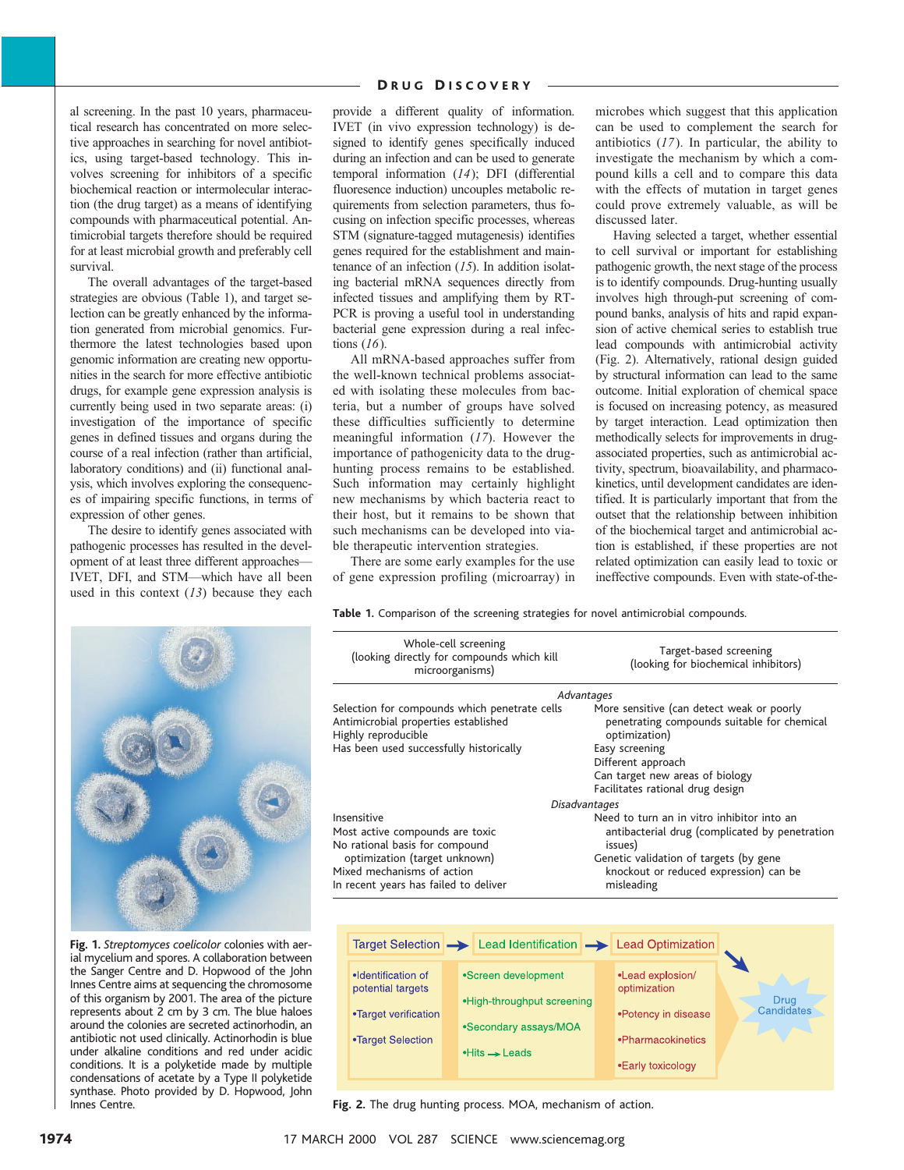### DRUG DISCOVERY

al screening. In the past 10 years, pharmaceutical research has concentrated on more selective approaches in searching for novel antibiotics, using target-based technology. This involves screening for inhibitors of a specific biochemical reaction or intermolecular interaction (the drug target) as a means of identifying compounds with pharmaceutical potential. Antimicrobial targets therefore should be required for at least microbial growth and preferably cell survival.

The overall advantages of the target-based strategies are obvious (Table 1), and target selection can be greatly enhanced by the information generated from microbial genomics. Furthermore the latest technologies based upon genomic information are creating new opportunities in the search for more effective antibiotic drugs, for example gene expression analysis is currently being used in two separate areas: (i) investigation of the importance of specific genes in defined tissues and organs during the course of a real infection (rather than artificial, laboratory conditions) and (ii) functional analysis, which involves exploring the consequences of impairing specific functions, in terms of expression of other genes.

The desire to identify genes associated with pathogenic processes has resulted in the development of at least three different approaches— IVET, DFI, and STM—which have all been used in this context (*13*) because they each



**Fig. 1.** *Streptomyces coelicolor* colonies with aerial mycelium and spores. A collaboration between the Sanger Centre and D. Hopwood of the John Innes Centre aims at sequencing the chromosome of this organism by 2001. The area of the picture represents about 2 cm by 3 cm. The blue haloes around the colonies are secreted actinorhodin, an antibiotic not used clinically. Actinorhodin is blue under alkaline conditions and red under acidic conditions. It is a polyketide made by multiple condensations of acetate by a Type II polyketide synthase. Photo provided by D. Hopwood, John provide a different quality of information. IVET (in vivo expression technology) is designed to identify genes specifically induced during an infection and can be used to generate temporal information (*14*); DFI (differential fluoresence induction) uncouples metabolic requirements from selection parameters, thus focusing on infection specific processes, whereas STM (signature-tagged mutagenesis) identifies genes required for the establishment and maintenance of an infection (*15*). In addition isolating bacterial mRNA sequences directly from infected tissues and amplifying them by RT-PCR is proving a useful tool in understanding bacterial gene expression during a real infections (*16*).

All mRNA-based approaches suffer from the well-known technical problems associated with isolating these molecules from bacteria, but a number of groups have solved these difficulties sufficiently to determine meaningful information (*17*). However the importance of pathogenicity data to the drughunting process remains to be established. Such information may certainly highlight new mechanisms by which bacteria react to their host, but it remains to be shown that such mechanisms can be developed into viable therapeutic intervention strategies.

There are some early examples for the use of gene expression profiling (microarray) in

microbes which suggest that this application can be used to complement the search for antibiotics (*17*). In particular, the ability to investigate the mechanism by which a compound kills a cell and to compare this data with the effects of mutation in target genes could prove extremely valuable, as will be discussed later.

Having selected a target, whether essential to cell survival or important for establishing pathogenic growth, the next stage of the process is to identify compounds. Drug-hunting usually involves high through-put screening of compound banks, analysis of hits and rapid expansion of active chemical series to establish true lead compounds with antimicrobial activity (Fig. 2). Alternatively, rational design guided by structural information can lead to the same outcome. Initial exploration of chemical space is focused on increasing potency, as measured by target interaction. Lead optimization then methodically selects for improvements in drugassociated properties, such as antimicrobial activity, spectrum, bioavailability, and pharmacokinetics, until development candidates are identified. It is particularly important that from the outset that the relationship between inhibition of the biochemical target and antimicrobial action is established, if these properties are not related optimization can easily lead to toxic or ineffective compounds. Even with state-of-the-

**Table 1.** Comparison of the screening strategies for novel antimicrobial compounds.

| Whole-cell screening<br>(looking directly for compounds which kill<br>microorganisms)                                                                                                    |                                                                                                                |                                                                                                                                                                                                                          | Target-based screening<br>(looking for biochemical inhibitors)                                                                 |
|------------------------------------------------------------------------------------------------------------------------------------------------------------------------------------------|----------------------------------------------------------------------------------------------------------------|--------------------------------------------------------------------------------------------------------------------------------------------------------------------------------------------------------------------------|--------------------------------------------------------------------------------------------------------------------------------|
| Advantages                                                                                                                                                                               |                                                                                                                |                                                                                                                                                                                                                          |                                                                                                                                |
| Selection for compounds which penetrate cells<br>Antimicrobial properties established<br>Highly reproducible<br>Has been used successfully historically                                  |                                                                                                                | More sensitive (can detect weak or poorly<br>penetrating compounds suitable for chemical<br>optimization)<br>Easy screening<br>Different approach<br>Can target new areas of biology<br>Facilitates rational drug design |                                                                                                                                |
| <b>Disadvantages</b>                                                                                                                                                                     |                                                                                                                |                                                                                                                                                                                                                          |                                                                                                                                |
| Insensitive<br>Most active compounds are toxic<br>No rational basis for compound<br>optimization (target unknown)<br>Mixed mechanisms of action<br>In recent years has failed to deliver |                                                                                                                | Need to turn an in vitro inhibitor into an<br>antibacterial drug (complicated by penetration<br>issues)<br>Genetic validation of targets (by gene<br>knockout or reduced expression) can be<br>misleading                |                                                                                                                                |
|                                                                                                                                                                                          |                                                                                                                |                                                                                                                                                                                                                          |                                                                                                                                |
|                                                                                                                                                                                          | Target Selection $\rightarrow$ Lead Identification $\rightarrow$ Lead Optimization                             |                                                                                                                                                                                                                          |                                                                                                                                |
| ·Identification of<br>potential targets<br>•Target verification<br>•Target Selection                                                                                                     | •Screen development<br>•High-throughput screening<br>•Secondary assays/MOA<br>$\cdot$ Hits $\rightarrow$ Leads |                                                                                                                                                                                                                          | •Lead explosion/<br>optimization<br><b>Drug</b><br>Candidates<br>•Potency in disease<br>•Pharmacokinetics<br>•Early toxicology |

Innes Centre. **Fig. 2.** The drug hunting process. MOA, mechanism of action.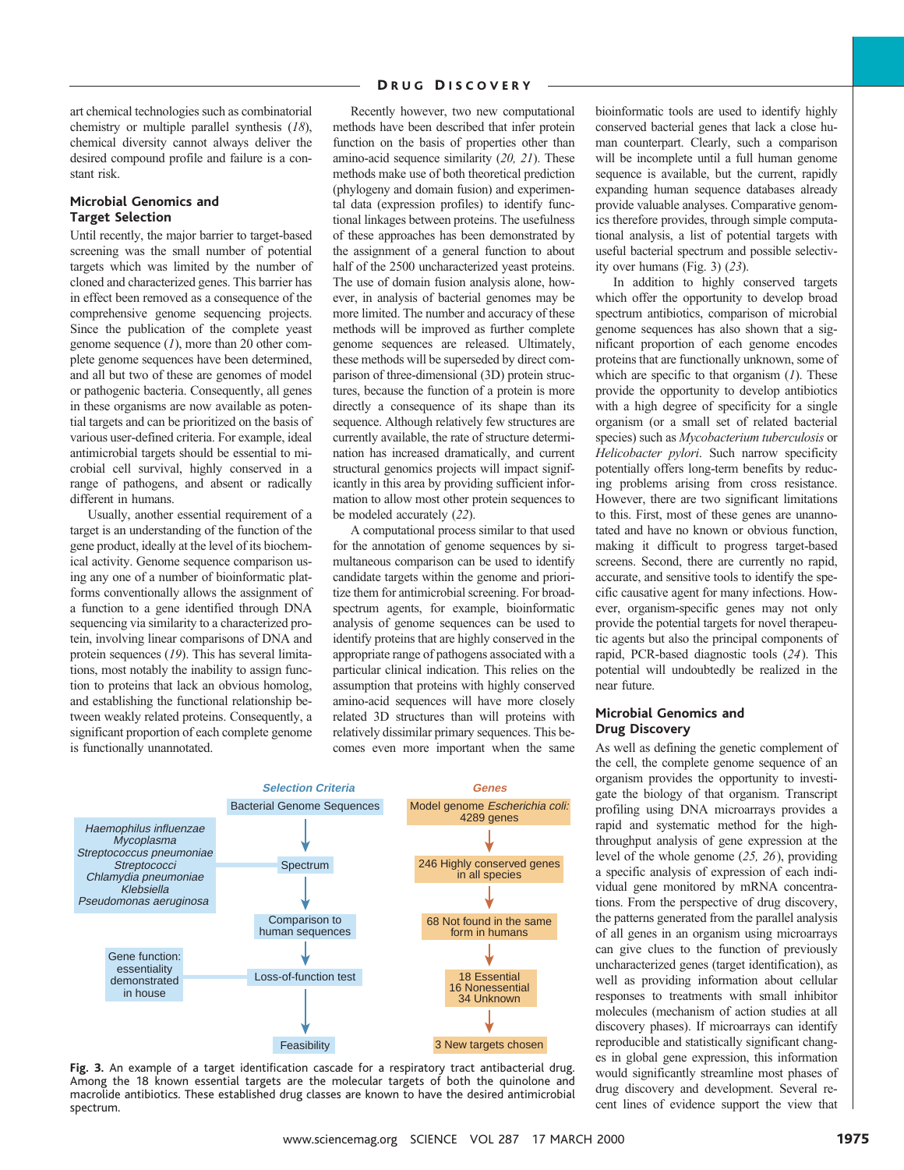art chemical technologies such as combinatorial chemistry or multiple parallel synthesis (*18*), chemical diversity cannot always deliver the desired compound profile and failure is a constant risk.

# **Microbial Genomics and Target Selection**

Until recently, the major barrier to target-based screening was the small number of potential targets which was limited by the number of cloned and characterized genes. This barrier has in effect been removed as a consequence of the comprehensive genome sequencing projects. Since the publication of the complete yeast genome sequence (*1*), more than 20 other complete genome sequences have been determined, and all but two of these are genomes of model or pathogenic bacteria. Consequently, all genes in these organisms are now available as potential targets and can be prioritized on the basis of various user-defined criteria. For example, ideal antimicrobial targets should be essential to microbial cell survival, highly conserved in a range of pathogens, and absent or radically different in humans.

Usually, another essential requirement of a target is an understanding of the function of the gene product, ideally at the level of its biochemical activity. Genome sequence comparison using any one of a number of bioinformatic platforms conventionally allows the assignment of a function to a gene identified through DNA sequencing via similarity to a characterized protein, involving linear comparisons of DNA and protein sequences (*19*). This has several limitations, most notably the inability to assign function to proteins that lack an obvious homolog, and establishing the functional relationship between weakly related proteins. Consequently, a significant proportion of each complete genome is functionally unannotated.

#### DRUG DISCOVERY

Recently however, two new computational methods have been described that infer protein function on the basis of properties other than amino-acid sequence similarity (*20, 21*). These methods make use of both theoretical prediction (phylogeny and domain fusion) and experimental data (expression profiles) to identify functional linkages between proteins. The usefulness of these approaches has been demonstrated by the assignment of a general function to about half of the 2500 uncharacterized yeast proteins. The use of domain fusion analysis alone, however, in analysis of bacterial genomes may be more limited. The number and accuracy of these methods will be improved as further complete genome sequences are released. Ultimately, these methods will be superseded by direct comparison of three-dimensional (3D) protein structures, because the function of a protein is more directly a consequence of its shape than its sequence. Although relatively few structures are currently available, the rate of structure determination has increased dramatically, and current structural genomics projects will impact significantly in this area by providing sufficient information to allow most other protein sequences to be modeled accurately (*22*).

A computational process similar to that used for the annotation of genome sequences by simultaneous comparison can be used to identify candidate targets within the genome and prioritize them for antimicrobial screening. For broadspectrum agents, for example, bioinformatic analysis of genome sequences can be used to identify proteins that are highly conserved in the appropriate range of pathogens associated with a particular clinical indication. This relies on the assumption that proteins with highly conserved amino-acid sequences will have more closely related 3D structures than will proteins with relatively dissimilar primary sequences. This becomes even more important when the same



**Fig. 3.** An example of a target identification cascade for a respiratory tract antibacterial drug. Among the 18 known essential targets are the molecular targets of both the quinolone and macrolide antibiotics. These established drug classes are known to have the desired antimicrobial spectrum.

bioinformatic tools are used to identify highly conserved bacterial genes that lack a close human counterpart. Clearly, such a comparison will be incomplete until a full human genome sequence is available, but the current, rapidly expanding human sequence databases already provide valuable analyses. Comparative genomics therefore provides, through simple computational analysis, a list of potential targets with useful bacterial spectrum and possible selectivity over humans (Fig. 3) (*23*).

In addition to highly conserved targets which offer the opportunity to develop broad spectrum antibiotics, comparison of microbial genome sequences has also shown that a significant proportion of each genome encodes proteins that are functionally unknown, some of which are specific to that organism (*1*). These provide the opportunity to develop antibiotics with a high degree of specificity for a single organism (or a small set of related bacterial species) such as *Mycobacterium tuberculosis* or *Helicobacter pylori*. Such narrow specificity potentially offers long-term benefits by reducing problems arising from cross resistance. However, there are two significant limitations to this. First, most of these genes are unannotated and have no known or obvious function, making it difficult to progress target-based screens. Second, there are currently no rapid, accurate, and sensitive tools to identify the specific causative agent for many infections. However, organism-specific genes may not only provide the potential targets for novel therapeutic agents but also the principal components of rapid, PCR-based diagnostic tools (*24*). This potential will undoubtedly be realized in the near future.

# **Microbial Genomics and Drug Discovery**

As well as defining the genetic complement of the cell, the complete genome sequence of an organism provides the opportunity to investigate the biology of that organism. Transcript profiling using DNA microarrays provides a rapid and systematic method for the highthroughput analysis of gene expression at the level of the whole genome (*25, 26*), providing a specific analysis of expression of each individual gene monitored by mRNA concentrations. From the perspective of drug discovery, the patterns generated from the parallel analysis of all genes in an organism using microarrays can give clues to the function of previously uncharacterized genes (target identification), as well as providing information about cellular responses to treatments with small inhibitor molecules (mechanism of action studies at all discovery phases). If microarrays can identify reproducible and statistically significant changes in global gene expression, this information would significantly streamline most phases of drug discovery and development. Several recent lines of evidence support the view that